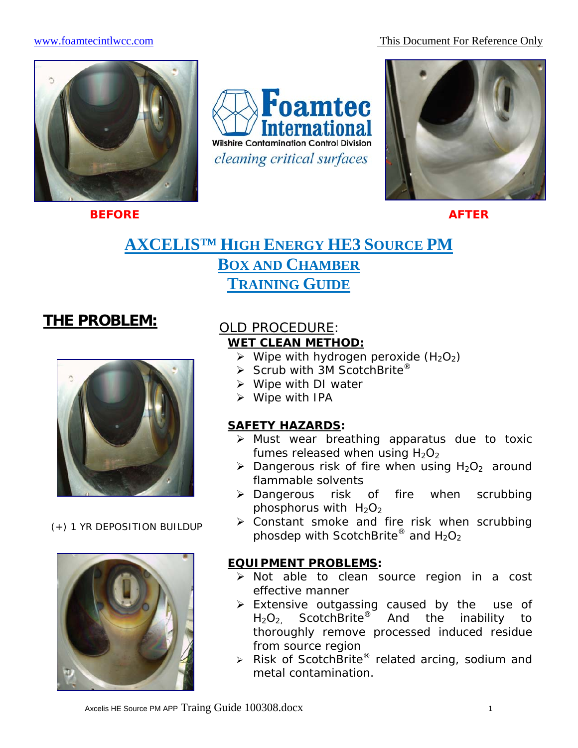www.foamtecintlwcc.com This Document For Reference Only



**BEFORE** AFTER AFTER

**Foamtec Wilshire Contamination Control Division** cleaning critical surfaces



# **AXCELIS™ HIGH ENERGY HE3 SOURCE PM BOX AND CHAMBER TRAINING GUIDE**

# **THE PROBLEM:**



(+) 1 YR DEPOSITION BUILDUP



## OLD PROCEDURE: **WET CLEAN METHOD:**

- $\triangleright$  Wipe with hydrogen peroxide (H<sub>2</sub>O<sub>2</sub>)
- $\triangleright$  Scrub with 3M ScotchBrite<sup>®</sup>
- $\triangleright$  Wipe with DI water
- $\triangleright$  Wipe with IPA

## **SAFETY HAZARDS:**

- ¾ Must wear breathing apparatus due to toxic fumes released when using  $H_2O_2$
- $\triangleright$  Dangerous risk of fire when using H<sub>2</sub>O<sub>2</sub> around flammable solvents
- ¾ Dangerous risk of fire when scrubbing phosphorus with  $H_2O_2$
- $\triangleright$  Constant smoke and fire risk when scrubbing phosdep with ScotchBrite® and  $H_2O_2$

## **EQUIPMENT PROBLEMS:**

- ¾ Not able to clean source region in a cost effective manner
- $\triangleright$  Extensive outgassing caused by the use of  $H_2O_2$  ScotchBrite<sup>®</sup> And the inability to thoroughly remove processed induced residue from source region
- $\triangleright$  Risk of ScotchBrite<sup>®</sup> related arcing, sodium and metal contamination.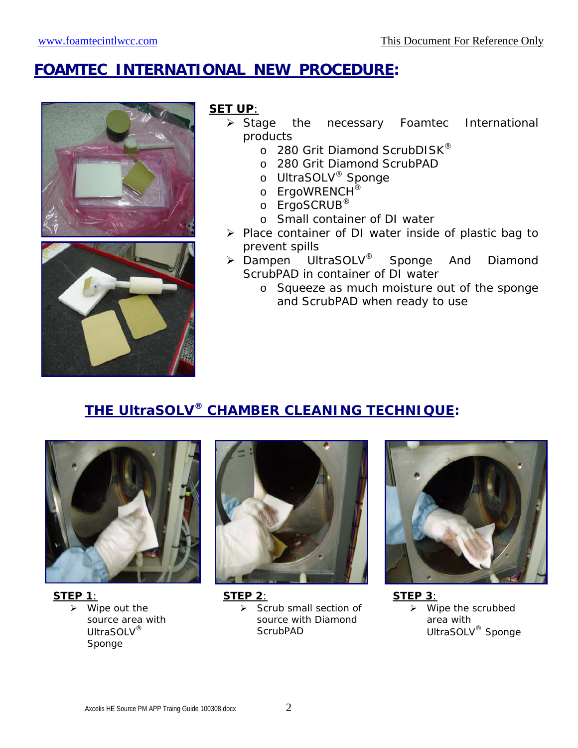# **FOAMTEC INTERNATIONAL NEW PROCEDURE:**





## **SET UP**:

- ¾ Stage the necessary Foamtec International products
	- o 280 Grit Diamond ScrubDISK®
	- o 280 Grit Diamond ScrubPAD
	- o UltraSOLV® Sponge
	- o ErgoWRENCH<sup>®</sup>
	- o ErgoSCRUB<sup>®</sup>
	- o Small container of DI water
- ¾ Place container of DI water inside of plastic bag to prevent spills
- $\triangleright$  Dampen UltraSOLV<sup>®</sup> Sponge And Diamond ScrubPAD in container of DI water
	- o Squeeze as much moisture out of the sponge and ScrubPAD when ready to use

## **THE UltraSOLV® CHAMBER CLEANING TECHNIQUE:**



**STEP 1**:  $\triangleright$  Wipe out the source area with UltraSOLV® Sponge



**STEP 2**:  $\triangleright$  Scrub small section of source with Diamond **ScrubPAD** 



**STEP 3**:  $\triangleright$  Wipe the scrubbed area with UltraSOLV® Sponge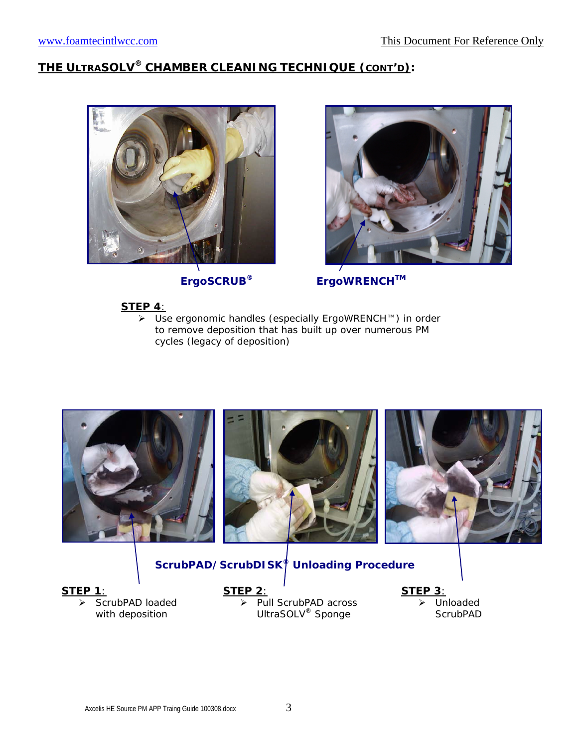## **THE ULTRASOLV® CHAMBER CLEANING TECHNIQUE (CONT'D):**





**ErgoSCRUB® ErgoWRENCHTM**

### **STEP 4**:

¾ Use ergonomic handles (especially ErgoWRENCH™) in order to remove deposition that has built up over numerous PM cycles (legacy of deposition)



## **ScrubPAD/ScrubDISK® Unloading Procedure**

#### **STEP 1**:

ScrubPAD loaded with deposition

**STEP 2**:

 $\overline{\triangleright}$  Pull ScrubPAD across UltraSOLV<sup>®</sup> Sponge

**STEP 3**: **Unloaded ScrubPAD**